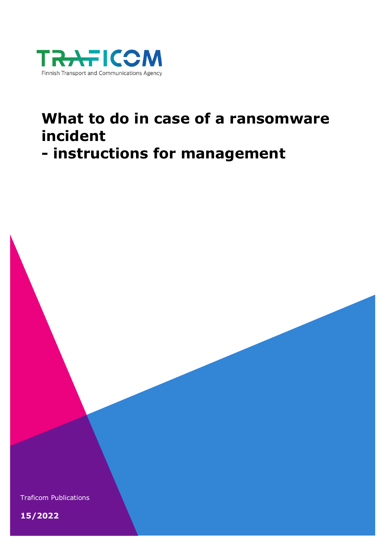

# **What to do in case of a ransomware incident**

## **- instructions for management**

Traficom Publications

**15/2022**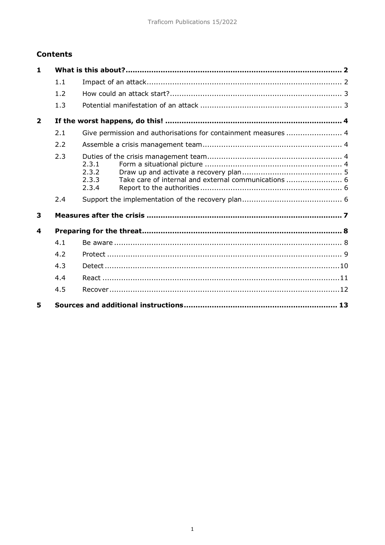#### **Contents**

| 1              |     |                                                                                          |
|----------------|-----|------------------------------------------------------------------------------------------|
|                | 1.1 |                                                                                          |
|                | 1.2 |                                                                                          |
|                | 1.3 |                                                                                          |
| $\overline{2}$ |     |                                                                                          |
|                | 2.1 | Give permission and authorisations for containment measures  4                           |
|                | 2.2 |                                                                                          |
|                | 2.3 | 2.3.1<br>2.3.2<br>Take care of internal and external communications  6<br>2.3.3<br>2.3.4 |
|                | 2.4 |                                                                                          |
| 3              |     |                                                                                          |
| 4              |     |                                                                                          |
|                | 4.1 |                                                                                          |
|                | 4.2 |                                                                                          |
|                | 4.3 |                                                                                          |
|                | 4.4 |                                                                                          |
|                | 4.5 |                                                                                          |
| 5              |     |                                                                                          |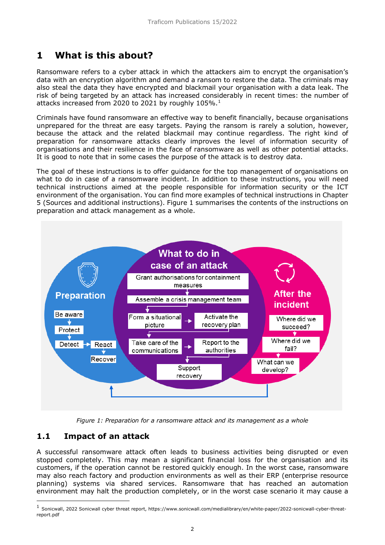## <span id="page-2-0"></span>**1 What is this about?**

Ransomware refers to a cyber attack in which the attackers aim to encrypt the organisation's data with an encryption algorithm and demand a ransom to restore the data. The criminals may also steal the data they have encrypted and blackmail your organisation with a data leak. The risk of being targeted by an attack has increased considerably in recent times: the number of attacks increased from 2020 to 202[1](#page-2-2) by roughly  $105\%$ .<sup>1</sup>

Criminals have found ransomware an effective way to benefit financially, because organisations unprepared for the threat are easy targets. Paying the ransom is rarely a solution, however, because the attack and the related blackmail may continue regardless. The right kind of preparation for ransomware attacks clearly improves the level of information security of organisations and their resilience in the face of ransomware as well as other potential attacks. It is good to note that in some cases the purpose of the attack is to destroy data.

The goal of these instructions is to offer guidance for the top management of organisations on what to do in case of a ransomware incident. In addition to these instructions, you will need technical instructions aimed at the people responsible for information security or the ICT environment of the organisation. You can find more examples of technical instructions in Chapter 5 (Sources and additional instructions). Figure 1 summarises the contents of the instructions on preparation and attack management as a whole.



*Figure 1: Preparation for a ransomware attack and its management as a whole*

#### <span id="page-2-1"></span>**1.1 Impact of an attack**

-

A successful ransomware attack often leads to business activities being disrupted or even stopped completely. This may mean a significant financial loss for the organisation and its customers, if the operation cannot be restored quickly enough. In the worst case, ransomware may also reach factory and production environments as well as their ERP (enterprise resource planning) systems via shared services. Ransomware that has reached an automation environment may halt the production completely, or in the worst case scenario it may cause a

<span id="page-2-2"></span><sup>1</sup> Sonicwall, 2022 Sonicwall cyber threat report, https://www.sonicwall.com/medialibrary/en/white-paper/2022-sonicwall-cyber-threatreport.pdf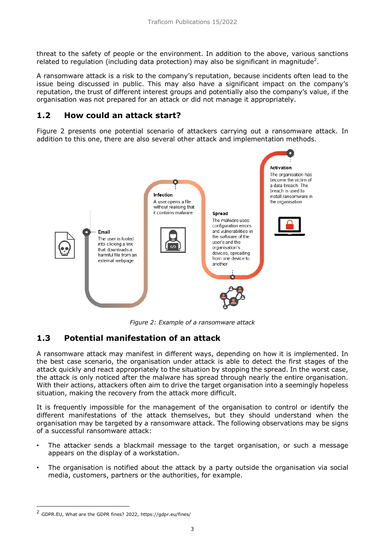threat to the safety of people or the environment. In addition to the above, various sanctions related to regulation (including data protection) may also be significant in magnitude<sup>2</sup>.

A ransomware attack is a risk to the company's reputation, because incidents often lead to the issue being discussed in public. This may also have a significant impact on the company's reputation, the trust of different interest groups and potentially also the company's value, if the organisation was not prepared for an attack or did not manage it appropriately.

#### <span id="page-3-0"></span>**1.2 How could an attack start?**

Figure 2 presents one potential scenario of attackers carrying out a ransomware attack. In addition to this one, there are also several other attack and implementation methods.



*Figure 2: Example of a ransomware attack*

#### <span id="page-3-1"></span>**1.3 Potential manifestation of an attack**

A ransomware attack may manifest in different ways, depending on how it is implemented. In the best case scenario, the organisation under attack is able to detect the first stages of the attack quickly and react appropriately to the situation by stopping the spread. In the worst case, the attack is only noticed after the malware has spread through nearly the entire organisation. With their actions, attackers often aim to drive the target organisation into a seemingly hopeless situation, making the recovery from the attack more difficult.

It is frequently impossible for the management of the organisation to control or identify the different manifestations of the attack themselves, but they should understand when the organisation may be targeted by a ransomware attack. The following observations may be signs of a successful ransomware attack:

- The attacker sends a blackmail message to the target organisation, or such a message appears on the display of a workstation.
- The organisation is notified about the attack by a party outside the organisation via social media, customers, partners or the authorities, for example.

-

<span id="page-3-2"></span><sup>&</sup>lt;sup>2</sup> GDPR.EU, What are the GDPR fines? 2022, https://gdpr.eu/fines/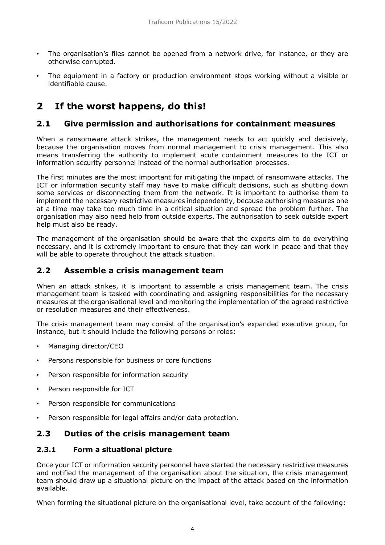- The organisation's files cannot be opened from a network drive, for instance, or they are otherwise corrupted.
- The equipment in a factory or production environment stops working without a visible or identifiable cause.

## <span id="page-4-0"></span>**2 If the worst happens, do this!**

#### <span id="page-4-1"></span>**2.1 Give permission and authorisations for containment measures**

When a ransomware attack strikes, the management needs to act quickly and decisively, because the organisation moves from normal management to crisis management. This also means transferring the authority to implement acute containment measures to the ICT or information security personnel instead of the normal authorisation processes.

The first minutes are the most important for mitigating the impact of ransomware attacks. The ICT or information security staff may have to make difficult decisions, such as shutting down some services or disconnecting them from the network. It is important to authorise them to implement the necessary restrictive measures independently, because authorising measures one at a time may take too much time in a critical situation and spread the problem further. The organisation may also need help from outside experts. The authorisation to seek outside expert help must also be ready.

The management of the organisation should be aware that the experts aim to do everything necessary, and it is extremely important to ensure that they can work in peace and that they will be able to operate throughout the attack situation.

#### <span id="page-4-2"></span>**2.2 Assemble a crisis management team**

When an attack strikes, it is important to assemble a crisis management team. The crisis management team is tasked with coordinating and assigning responsibilities for the necessary measures at the organisational level and monitoring the implementation of the agreed restrictive or resolution measures and their effectiveness.

The crisis management team may consist of the organisation's expanded executive group, for instance, but it should include the following persons or roles:

- Managing director/CEO
- Persons responsible for business or core functions
- Person responsible for information security
- Person responsible for ICT
- Person responsible for communications
- Person responsible for legal affairs and/or data protection.

#### <span id="page-4-3"></span>**2.3 Duties of the crisis management team**

#### <span id="page-4-4"></span>**2.3.1 Form a situational picture**

Once your ICT or information security personnel have started the necessary restrictive measures and notified the management of the organisation about the situation, the crisis management team should draw up a situational picture on the impact of the attack based on the information available.

When forming the situational picture on the organisational level, take account of the following: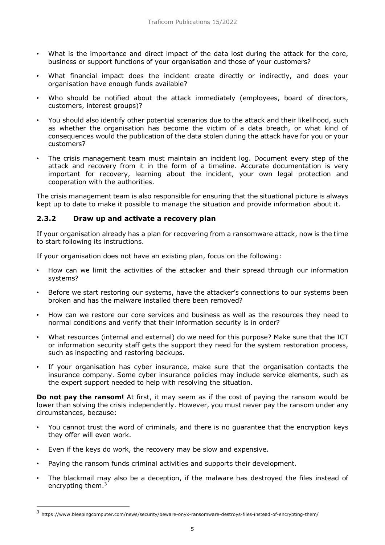- What is the importance and direct impact of the data lost during the attack for the core, business or support functions of your organisation and those of your customers?
- What financial impact does the incident create directly or indirectly, and does your organisation have enough funds available?
- Who should be notified about the attack immediately (employees, board of directors, customers, interest groups)?
- You should also identify other potential scenarios due to the attack and their likelihood, such as whether the organisation has become the victim of a data breach, or what kind of consequences would the publication of the data stolen during the attack have for you or your customers?
- The crisis management team must maintain an incident log. Document every step of the attack and recovery from it in the form of a timeline. Accurate documentation is very important for recovery, learning about the incident, your own legal protection and cooperation with the authorities.

The crisis management team is also responsible for ensuring that the situational picture is always kept up to date to make it possible to manage the situation and provide information about it.

#### <span id="page-5-0"></span>**2.3.2 Draw up and activate a recovery plan**

If your organisation already has a plan for recovering from a ransomware attack, now is the time to start following its instructions.

If your organisation does not have an existing plan, focus on the following:

- How can we limit the activities of the attacker and their spread through our information systems?
- Before we start restoring our systems, have the attacker's connections to our systems been broken and has the malware installed there been removed?
- How can we restore our core services and business as well as the resources they need to normal conditions and verify that their information security is in order?
- What resources (internal and external) do we need for this purpose? Make sure that the ICT or information security staff gets the support they need for the system restoration process, such as inspecting and restoring backups.
- If your organisation has cyber insurance, make sure that the organisation contacts the insurance company. Some cyber insurance policies may include service elements, such as the expert support needed to help with resolving the situation.

**Do not pay the ransom!** At first, it may seem as if the cost of paying the ransom would be lower than solving the crisis independently. However, you must never pay the ransom under any circumstances, because:

- You cannot trust the word of criminals, and there is no guarantee that the encryption keys they offer will even work.
- Even if the keys do work, the recovery may be slow and expensive.

-

- Paying the ransom funds criminal activities and supports their development.
- The blackmail may also be a deception, if the malware has destroyed the files instead of encrypting them.<sup>[3](#page-5-1)</sup>

<span id="page-5-1"></span> $3$  https://www.bleepingcomputer.com/news/security/beware-onyx-ransomware-destroys-files-instead-of-encrypting-them/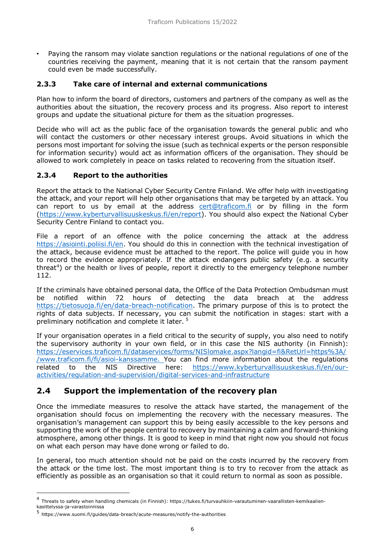• Paying the ransom may violate sanction regulations or the national regulations of one of the countries receiving the payment, meaning that it is not certain that the ransom payment could even be made successfully.

#### <span id="page-6-0"></span>**2.3.3 Take care of internal and external communications**

Plan how to inform the board of directors, customers and partners of the company as well as the authorities about the situation, the recovery process and its progress. Also report to interest groups and update the situational picture for them as the situation progresses.

Decide who will act as the public face of the organisation towards the general public and who will contact the customers or other necessary interest groups. Avoid situations in which the persons most important for solving the issue (such as technical experts or the person responsible for information security) would act as information officers of the organisation. They should be allowed to work completely in peace on tasks related to recovering from the situation itself.

#### <span id="page-6-1"></span>**2.3.4 Report to the authorities**

Report the attack to the National Cyber Security Centre Finland. We offer help with investigating the attack, and your report will help other organisations that may be targeted by an attack. You can report to us by email at the address [cert@traficom.fi](mailto:cert@traficom.fi) or by filling in the form [\(https://www.kyberturvallisuuskeskus.fi/en/report\)](https://www.kyberturvallisuuskeskus.fi/en/report). You should also expect the National Cyber Security Centre Finland to contact you.

File a report of an offence with the police concerning the attack at the address [https://asiointi.poliisi.fi/en.](https://asiointi.poliisi.fi/en) You should do this in connection with the technical investigation of the attack, because evidence must be attached to the report. The police will guide you in how to record the evidence appropriately. If the attack endangers public safety (e.g. a security threat<sup>[4](#page-6-3)</sup>) or the health or lives of people, report it directly to the emergency telephone number 112.

If the criminals have obtained personal data, the Office of the Data Protection Ombudsman must be notified within 72 hours of detecting the data breach at the address [https://tietosuoja.fi/en/data-breach-notification.](https://tietosuoja.fi/en/data-breach-notification) The primary purpose of this is to protect the rights of data subjects. If necessary, you can submit the notification in stages: start with a preliminary notification and complete it later. [5](#page-6-4)

If your organisation operates in a field critical to the security of supply, you also need to notify the supervisory authority in your own field, or in this case the NIS authority (in Finnish): [https://eservices.traficom.fi/dataservices/forms/NISlomake.aspx?langid=fi&RetUrl=https%3A/](https://eservices.traficom.fi/dataservices/forms/NISlomake.aspx?langid=fi&amp;RetUrl=https%3A//www.traficom.fi/fi/asioi-kanssamme) [/www.traficom.fi/fi/asioi-kanssamme.](https://eservices.traficom.fi/dataservices/forms/NISlomake.aspx?langid=fi&amp;RetUrl=https%3A//www.traficom.fi/fi/asioi-kanssamme) You can find more information about the regulations related to the NIS Directive here: [https://www.kyberturvallisuuskeskus.fi/en/our](https://www.kyberturvallisuuskeskus.fi/en/our-activities/regulation-and-supervision/digital-services-and-infrastructure)[activities/regulation-and-supervision/digital-services-and-infrastructure](https://www.kyberturvallisuuskeskus.fi/en/our-activities/regulation-and-supervision/digital-services-and-infrastructure)

#### <span id="page-6-2"></span>**2.4 Support the implementation of the recovery plan**

Once the immediate measures to resolve the attack have started, the management of the organisation should focus on implementing the recovery with the necessary measures. The organisation's management can support this by being easily accessible to the key persons and supporting the work of the people central to recovery by maintaining a calm and forward-thinking atmosphere, among other things. It is good to keep in mind that right now you should not focus on what each person may have done wrong or failed to do.

In general, too much attention should not be paid on the costs incurred by the recovery from the attack or the time lost. The most important thing is to try to recover from the attack as efficiently as possible as an organisation so that it could return to normal as soon as possible.

-

<span id="page-6-3"></span><sup>&</sup>lt;sup>4</sup> Threats to safety when handling chemicals (in Finnish): https://tukes.fi/turvauhkiin-varautuminen-vaarallisten-kemikaalienkasittelyssa-ja-varastoinnissa

<span id="page-6-4"></span><sup>5</sup> https://www.suomi.fi/guides/data-breach/acute-measures/notify-the-authorities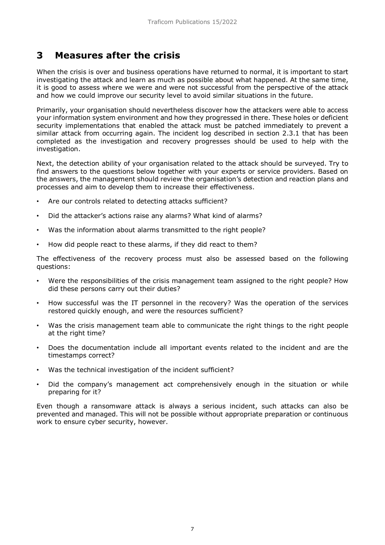## <span id="page-7-0"></span>**3 Measures after the crisis**

When the crisis is over and business operations have returned to normal, it is important to start investigating the attack and learn as much as possible about what happened. At the same time, it is good to assess where we were and were not successful from the perspective of the attack and how we could improve our security level to avoid similar situations in the future.

Primarily, your organisation should nevertheless discover how the attackers were able to access your information system environment and how they progressed in there. These holes or deficient security implementations that enabled the attack must be patched immediately to prevent a similar attack from occurring again. The incident log described in section 2.3.1 that has been completed as the investigation and recovery progresses should be used to help with the investigation.

Next, the detection ability of your organisation related to the attack should be surveyed. Try to find answers to the questions below together with your experts or service providers. Based on the answers, the management should review the organisation's detection and reaction plans and processes and aim to develop them to increase their effectiveness.

- Are our controls related to detecting attacks sufficient?
- Did the attacker's actions raise any alarms? What kind of alarms?
- Was the information about alarms transmitted to the right people?
- How did people react to these alarms, if they did react to them?

The effectiveness of the recovery process must also be assessed based on the following questions:

- Were the responsibilities of the crisis management team assigned to the right people? How did these persons carry out their duties?
- How successful was the IT personnel in the recovery? Was the operation of the services restored quickly enough, and were the resources sufficient?
- Was the crisis management team able to communicate the right things to the right people at the right time?
- Does the documentation include all important events related to the incident and are the timestamps correct?
- Was the technical investigation of the incident sufficient?
- Did the company's management act comprehensively enough in the situation or while preparing for it?

Even though a ransomware attack is always a serious incident, such attacks can also be prevented and managed. This will not be possible without appropriate preparation or continuous work to ensure cyber security, however.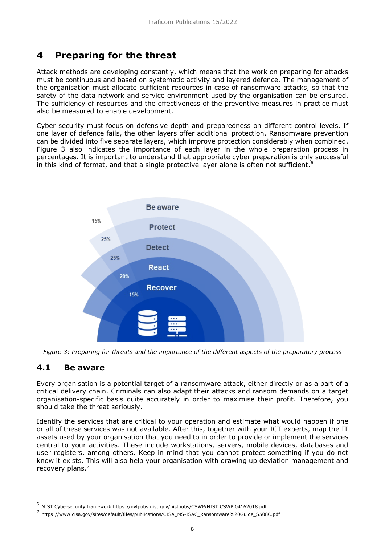## <span id="page-8-0"></span>**4 Preparing for the threat**

Attack methods are developing constantly, which means that the work on preparing for attacks must be continuous and based on systematic activity and layered defence. The management of the organisation must allocate sufficient resources in case of ransomware attacks, so that the safety of the data network and service environment used by the organisation can be ensured. The sufficiency of resources and the effectiveness of the preventive measures in practice must also be measured to enable development.

Cyber security must focus on defensive depth and preparedness on different control levels. If one layer of defence fails, the other layers offer additional protection. Ransomware prevention can be divided into five separate layers, which improve protection considerably when combined. Figure 3 also indicates the importance of each layer in the whole preparation process in percentages. It is important to understand that appropriate cyber preparation is only successful in this kind of format, and that a single protective layer alone is often not sufficient.<sup>[6](#page-8-2)</sup>



*Figure 3: Preparing for threats and the importance of the different aspects of the preparatory process*

#### <span id="page-8-1"></span>**4.1 Be aware**

-

Every organisation is a potential target of a ransomware attack, either directly or as a part of a critical delivery chain. Criminals can also adapt their attacks and ransom demands on a target organisation-specific basis quite accurately in order to maximise their profit. Therefore, you should take the threat seriously.

Identify the services that are critical to your operation and estimate what would happen if one or all of these services was not available. After this, together with your ICT experts, map the IT assets used by your organisation that you need to in order to provide or implement the services central to your activities. These include workstations, servers, mobile devices, databases and user registers, among others. Keep in mind that you cannot protect something if you do not know it exists. This will also help your organisation with drawing up deviation management and recovery plans.[7](#page-8-3)

<span id="page-8-2"></span><sup>6</sup> NIST Cybersecurity framework https://nvlpubs.nist.gov/nistpubs/CSWP/NIST.CSWP.04162018.pdf

<span id="page-8-3"></span><sup>7</sup> https://www.cisa.gov/sites/default/files/publications/CISA\_MS-ISAC\_Ransomware%20Guide\_S508C.pdf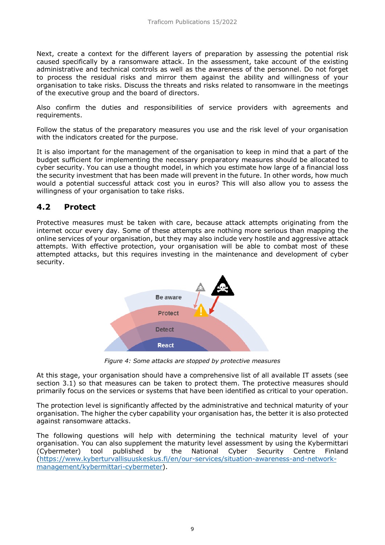Next, create a context for the different layers of preparation by assessing the potential risk caused specifically by a ransomware attack. In the assessment, take account of the existing administrative and technical controls as well as the awareness of the personnel. Do not forget to process the residual risks and mirror them against the ability and willingness of your organisation to take risks. Discuss the threats and risks related to ransomware in the meetings of the executive group and the board of directors.

Also confirm the duties and responsibilities of service providers with agreements and requirements.

Follow the status of the preparatory measures you use and the risk level of your organisation with the indicators created for the purpose.

It is also important for the management of the organisation to keep in mind that a part of the budget sufficient for implementing the necessary preparatory measures should be allocated to cyber security. You can use a thought model, in which you estimate how large of a financial loss the security investment that has been made will prevent in the future. In other words, how much would a potential successful attack cost you in euros? This will also allow you to assess the willingness of your organisation to take risks.

#### <span id="page-9-0"></span>**4.2 Protect**

Protective measures must be taken with care, because attack attempts originating from the internet occur every day. Some of these attempts are nothing more serious than mapping the online services of your organisation, but they may also include very hostile and aggressive attack attempts. With effective protection, your organisation will be able to combat most of these attempted attacks, but this requires investing in the maintenance and development of cyber security.



*Figure 4: Some attacks are stopped by protective measures*

At this stage, your organisation should have a comprehensive list of all available IT assets (see section 3.1) so that measures can be taken to protect them. The protective measures should primarily focus on the services or systems that have been identified as critical to your operation.

The protection level is significantly affected by the administrative and technical maturity of your organisation. The higher the cyber capability your organisation has, the better it is also protected against ransomware attacks.

The following questions will help with determining the technical maturity level of your organisation. You can also supplement the maturity level assessment by using the Kybermittari (Cybermeter) tool published by the National Cyber Security Centre Finland [\(https://www.kyberturvallisuuskeskus.fi/en/our-services/situation-awareness-and-network](https://www.kyberturvallisuuskeskus.fi/en/our-services/situation-awareness-and-network-management/kybermittari-cybermeter)[management/kybermittari-cybermeter\)](https://www.kyberturvallisuuskeskus.fi/en/our-services/situation-awareness-and-network-management/kybermittari-cybermeter).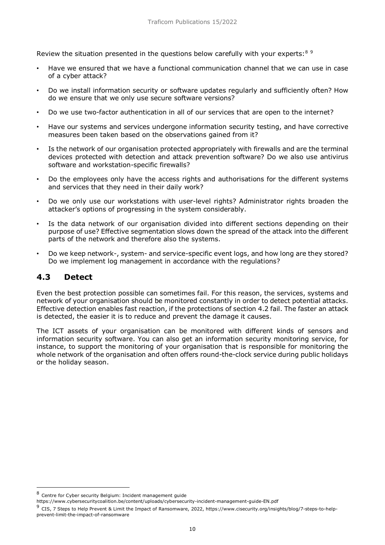Review the situation presented in the questions below carefully with your experts:<sup>[8](#page-10-1)[9](#page-10-2)</sup>

- Have we ensured that we have a functional communication channel that we can use in case of a cyber attack?
- Do we install information security or software updates regularly and sufficiently often? How do we ensure that we only use secure software versions?
- Do we use two-factor authentication in all of our services that are open to the internet?
- Have our systems and services undergone information security testing, and have corrective measures been taken based on the observations gained from it?
- Is the network of our organisation protected appropriately with firewalls and are the terminal devices protected with detection and attack prevention software? Do we also use antivirus software and workstation-specific firewalls?
- Do the employees only have the access rights and authorisations for the different systems and services that they need in their daily work?
- Do we only use our workstations with user-level rights? Administrator rights broaden the attacker's options of progressing in the system considerably.
- Is the data network of our organisation divided into different sections depending on their purpose of use? Effective segmentation slows down the spread of the attack into the different parts of the network and therefore also the systems.
- Do we keep network-, system- and service-specific event logs, and how long are they stored? Do we implement log management in accordance with the regulations?

#### <span id="page-10-0"></span>**4.3 Detect**

-

Even the best protection possible can sometimes fail. For this reason, the services, systems and network of your organisation should be monitored constantly in order to detect potential attacks. Effective detection enables fast reaction, if the protections of section 4.2 fail. The faster an attack is detected, the easier it is to reduce and prevent the damage it causes.

The ICT assets of your organisation can be monitored with different kinds of sensors and information security software. You can also get an information security monitoring service, for instance, to support the monitoring of your organisation that is responsible for monitoring the whole network of the organisation and often offers round-the-clock service during public holidays or the holiday season.

<span id="page-10-1"></span><sup>8</sup> Centre for Cyber security Belgium: Incident management guide

https://www.cybersecuritycoalition.be/content/uploads/cybersecurity-incident-management-guide-EN.pdf

<span id="page-10-2"></span><sup>9</sup> CIS, 7 Steps to Help Prevent & Limit the Impact of Ransomware, 2022, https://www.cisecurity.org/insights/blog/7-steps-to-helpprevent-limit-the-impact-of-ransomware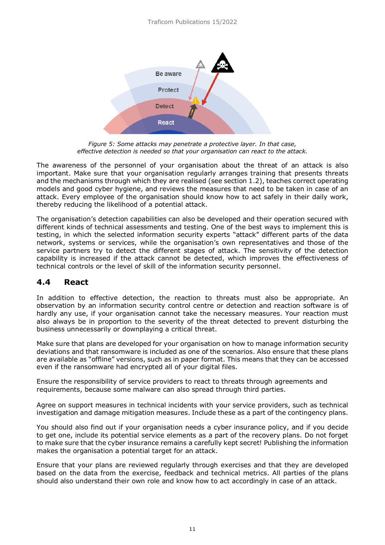

*Figure 5: Some attacks may penetrate a protective layer. In that case, effective detection is needed so that your organisation can react to the attack.*

The awareness of the personnel of your organisation about the threat of an attack is also important. Make sure that your organisation regularly arranges training that presents threats and the mechanisms through which they are realised (see section 1.2), teaches correct operating models and good cyber hygiene, and reviews the measures that need to be taken in case of an attack. Every employee of the organisation should know how to act safely in their daily work, thereby reducing the likelihood of a potential attack.

The organisation's detection capabilities can also be developed and their operation secured with different kinds of technical assessments and testing. One of the best ways to implement this is testing, in which the selected information security experts "attack" different parts of the data network, systems or services, while the organisation's own representatives and those of the service partners try to detect the different stages of attack. The sensitivity of the detection capability is increased if the attack cannot be detected, which improves the effectiveness of technical controls or the level of skill of the information security personnel.

#### <span id="page-11-0"></span>**4.4 React**

In addition to effective detection, the reaction to threats must also be appropriate. An observation by an information security control centre or detection and reaction software is of hardly any use, if your organisation cannot take the necessary measures. Your reaction must also always be in proportion to the severity of the threat detected to prevent disturbing the business unnecessarily or downplaying a critical threat.

Make sure that plans are developed for your organisation on how to manage information security deviations and that ransomware is included as one of the scenarios. Also ensure that these plans are available as "offline" versions, such as in paper format. This means that they can be accessed even if the ransomware had encrypted all of your digital files.

Ensure the responsibility of service providers to react to threats through agreements and requirements, because some malware can also spread through third parties.

Agree on support measures in technical incidents with your service providers, such as technical investigation and damage mitigation measures. Include these as a part of the contingency plans.

You should also find out if your organisation needs a cyber insurance policy, and if you decide to get one, include its potential service elements as a part of the recovery plans. Do not forget to make sure that the cyber insurance remains a carefully kept secret! Publishing the information makes the organisation a potential target for an attack.

Ensure that your plans are reviewed regularly through exercises and that they are developed based on the data from the exercise, feedback and technical metrics. All parties of the plans should also understand their own role and know how to act accordingly in case of an attack.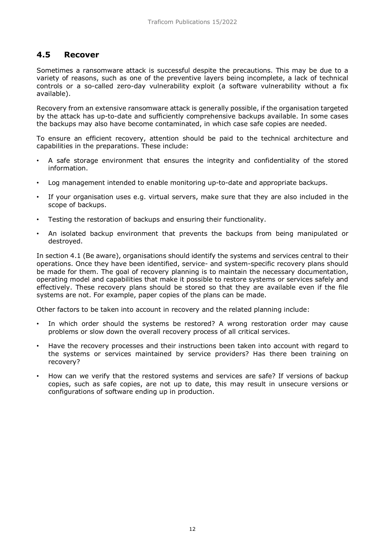#### <span id="page-12-0"></span>**4.5 Recover**

Sometimes a ransomware attack is successful despite the precautions. This may be due to a variety of reasons, such as one of the preventive layers being incomplete, a lack of technical controls or a so-called zero-day vulnerability exploit (a software vulnerability without a fix available).

Recovery from an extensive ransomware attack is generally possible, if the organisation targeted by the attack has up-to-date and sufficiently comprehensive backups available. In some cases the backups may also have become contaminated, in which case safe copies are needed.

To ensure an efficient recovery, attention should be paid to the technical architecture and capabilities in the preparations. These include:

- A safe storage environment that ensures the integrity and confidentiality of the stored information.
- Log management intended to enable monitoring up-to-date and appropriate backups.
- If your organisation uses e.g. virtual servers, make sure that they are also included in the scope of backups.
- Testing the restoration of backups and ensuring their functionality.
- An isolated backup environment that prevents the backups from being manipulated or destroyed.

In section 4.1 (Be aware), organisations should identify the systems and services central to their operations. Once they have been identified, service- and system-specific recovery plans should be made for them. The goal of recovery planning is to maintain the necessary documentation, operating model and capabilities that make it possible to restore systems or services safely and effectively. These recovery plans should be stored so that they are available even if the file systems are not. For example, paper copies of the plans can be made.

Other factors to be taken into account in recovery and the related planning include:

- In which order should the systems be restored? A wrong restoration order may cause problems or slow down the overall recovery process of all critical services.
- Have the recovery processes and their instructions been taken into account with regard to the systems or services maintained by service providers? Has there been training on recovery?
- How can we verify that the restored systems and services are safe? If versions of backup copies, such as safe copies, are not up to date, this may result in unsecure versions or configurations of software ending up in production.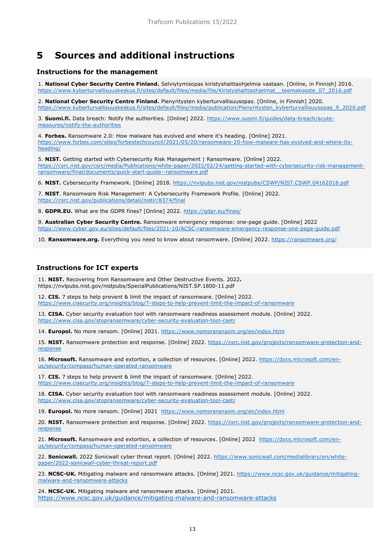## <span id="page-13-0"></span>**5 Sources and additional instructions**

#### **Instructions for the management**

1. **National Cyber Security Centre Finland.** Selviytymisopas kiristyshaittaohjelmia vastaan. [Online, in Finnish] 2016. [https://www.kyberturvallisuuskeskus.fi/sites/default/files/media/file/Kiristyshaittaohjelmat\\_\\_teemakooste\\_07\\_2016.pdf](https://www.kyberturvallisuuskeskus.fi/sites/default/files/media/file/Kiristyshaittaohjelmat__teemakooste_07_2016.pdf)

2. **National Cyber Security Centre Finland.** Pienyritysten kyberturvallisuusopas. [Online, in Finnish] 2020. [https://www.kyberturvallisuuskeskus.fi/sites/default/files/media/publication/Pienyritysten\\_kyberturvallisuusopas\\_9\\_2020.pdf](https://www.kyberturvallisuuskeskus.fi/sites/default/files/media/publication/Pienyritysten_kyberturvallisuusopas_9_2020.pdf)

3. **Suomi.fi.** Data breach: Notify the authorities. [Online] 2022. [https://www.suomi.fi/guides/data-breach/acute](https://www.suomi.fi/oppaat/tietomurto/akuutit-toimet/ilmoita-viranomaisille)[measures/notify-the-authorities](https://www.suomi.fi/oppaat/tietomurto/akuutit-toimet/ilmoita-viranomaisille)

4. **Forbes.** Ransomware 2.0: How malware has evolved and where it's heading. [Online] 2021. [https://www.forbes.com/sites/forbestechcouncil/2021/05/20/ransomware-20-how-malware-has-evolved-and-where-its](https://www.forbes.com/sites/forbestechcouncil/2021/05/20/ransomware-20-how-malware-has-evolved-and-where-its-heading/)[heading/](https://www.forbes.com/sites/forbestechcouncil/2021/05/20/ransomware-20-how-malware-has-evolved-and-where-its-heading/)

5. **NIST.** Getting started with Cybersecurity Risk Management | Ransomware. [Online] 2022. [https://csrc.nist.gov/csrc/media/Publications/white-paper/2022/02/24/getting-started-with-cybersecurity-risk-management](https://csrc.nist.gov/csrc/media/Publications/white-paper/2022/02/24/getting-started-with-cybersecurity-risk-management-ransomware/final/documents/quick-start-guide--ransomware.pdf)[ransomware/final/documents/quick-start-guide--ransomware.pdf](https://csrc.nist.gov/csrc/media/Publications/white-paper/2022/02/24/getting-started-with-cybersecurity-risk-management-ransomware/final/documents/quick-start-guide--ransomware.pdf)

6. **NIST.** Cybersecurity Framework. [Online] 2018.<https://nvlpubs.nist.gov/nistpubs/CSWP/NIST.CSWP.04162018.pdf>

7. **NIST**. Ransomware Risk Management: A Cybersecurity Framework Profile. [Online] 2022. <https://csrc.nist.gov/publications/detail/nistir/8374/final>

8. **GDPR.EU.** What are the GDPR fines? [Online] 2022.<https://gdpr.eu/fines/>

9. **Australian Cyber Security Centre.** Ransomware emergency response: one-page guide. [Online] 2022. <https://www.cyber.gov.au/sites/default/files/2021-10/ACSC-ransomware-emergency-response-one-page-guide.pdf>

10. **Ransomware.org.** Everything you need to know about ransomware. [Online] 2022.<https://ransomware.org/>

#### **Instructions for ICT experts**

11. **NIST.** Recovering from Ransomware and Other Destructive Events. 2022**.**  https://nvlpubs.nist.gov/nistpubs/SpecialPublications/NIST.SP.1800-11.pdf

12. **CIS.** 7 steps to help prevent & limit the impact of ransomware. [Online] 2022. <https://www.cisecurity.org/insights/blog/7-steps-to-help-prevent-limit-the-impact-of-ransomware>

13. **CISA.** Cyber security evaluation tool with ransomware readiness assessment module. [Online] 2022. <https://www.cisa.gov/stopransomware/cyber-security-evaluation-tool-csetr>

14. **Europol.** No more ransom. [Online] 2021.<https://www.nomoreransom.org/en/index.html>

15. **NIST.** Ransomware protection and response. [Online] 2022. [https://csrc.nist.gov/projects/ransomware-protection-and](https://csrc.nist.gov/projects/ransomware-protection-and-response)[response](https://csrc.nist.gov/projects/ransomware-protection-and-response)

16. **Microsoft.** Ransomware and extortion, a collection of resources. [Online] 2022. [https://docs.microsoft.com/en](https://docs.microsoft.com/en-us/security/compass/human-operated-ransomware)[us/security/compass/human-operated-ransomware](https://docs.microsoft.com/en-us/security/compass/human-operated-ransomware)

17. **CIS.** 7 steps to help prevent & limit the impact of ransomware. [Online] 2022. <https://www.cisecurity.org/insights/blog/7-steps-to-help-prevent-limit-the-impact-of-ransomware>

18. **CISA.** Cyber security evaluation tool with ransomware readiness assessment module. [Online] 2022. <https://www.cisa.gov/stopransomware/cyber-security-evaluation-tool-csetr>

19. **Europol.** No more ransom. [Online] 2021.<https://www.nomoreransom.org/en/index.html>

20. NIST. Ransomware protection and response. [Online] 2022. [https://csrc.nist.gov/projects/ransomware-protection-and](https://csrc.nist.gov/projects/ransomware-protection-and-response)[response](https://csrc.nist.gov/projects/ransomware-protection-and-response)

21. **Microsoft.** Ransomware and extortion, a collection of resources. [Online] 2022. [https://docs.microsoft.com/en](https://docs.microsoft.com/en-us/security/compass/human-operated-ransomware)[us/security/compass/human-operated-ransomware](https://docs.microsoft.com/en-us/security/compass/human-operated-ransomware)

22. **Sonicwall.** 2022 Sonicwall cyber threat report. [Online] 2022. [https://www.sonicwall.com/medialibrary/en/white](https://www.sonicwall.com/medialibrary/en/white-paper/2022-sonicwall-cyber-threat-report.pdf)[paper/2022-sonicwall-cyber-threat-report.pdf](https://www.sonicwall.com/medialibrary/en/white-paper/2022-sonicwall-cyber-threat-report.pdf)

23. **NCSC-UK.** Mitigating malware and ransomware attacks. [Online] 2021. [https://www.ncsc.gov.uk/guidance/mitigating](https://www.ncsc.gov.uk/guidance/mitigating-malware-and-ransomware-attacks)[malware-and-ransomware-attacks](https://www.ncsc.gov.uk/guidance/mitigating-malware-and-ransomware-attacks)

24. **NCSC-UK.** Mitigating malware and ransomware attacks. [Online] 2021. <https://www.ncsc.gov.uk/guidance/mitigating-malware-and-ransomware-attacks>